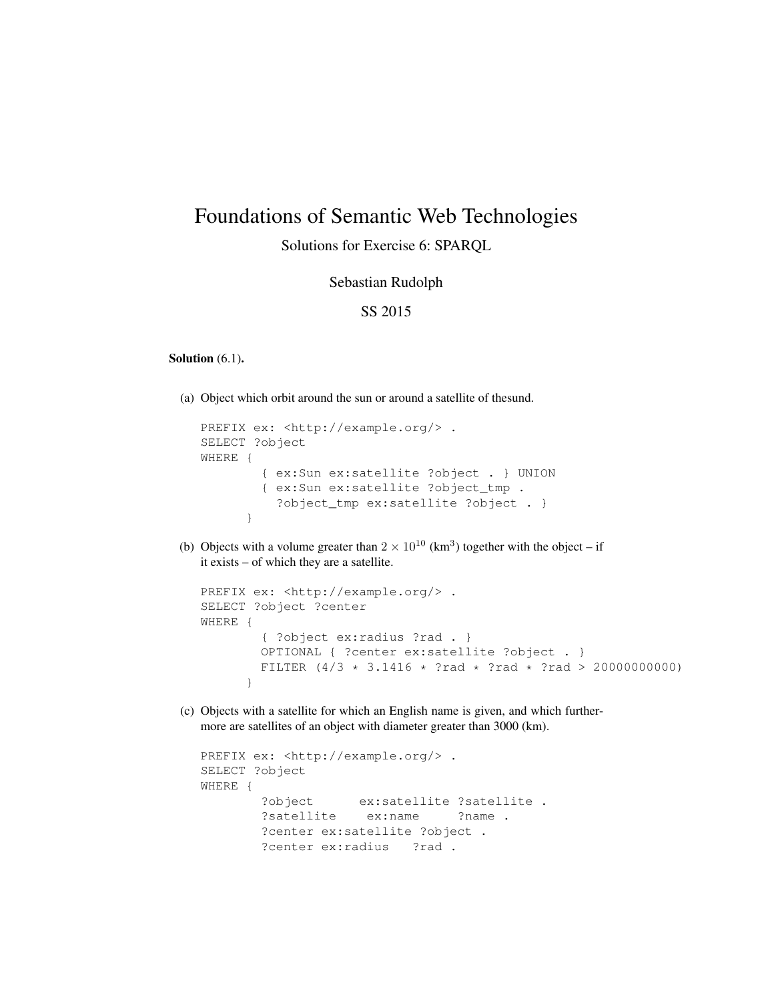# Foundations of Semantic Web Technologies

# Solutions for Exercise 6: SPARQL

### Sebastian Rudolph

## SS 2015

#### Solution  $(6.1)$ .

(a) Object which orbit around the sun or around a satellite of thesund.

```
PREFIX ex: < http://example.org/> .
SELECT ?object
WHERE {
        { ex:Sun ex:satellite ?object . } UNION
        { ex:Sun ex:satellite ?object_tmp .
          ?object_tmp ex:satellite ?object . }
      }
```
(b) Objects with a volume greater than  $2 \times 10^{10}$  (km<sup>3</sup>) together with the object – if it exists – of which they are a satellite.

```
PREFIX ex: <http://example.org/> .
SELECT ?object ?center
WHERE {
        { ?object ex:radius ?rad . }
        OPTIONAL { ?center ex:satellite ?object . }
        FILTER (4/3 * 3.1416 * ?rad * ?rad * ?rad > 20000000000)}
```
(c) Objects with a satellite for which an English name is given, and which furthermore are satellites of an object with diameter greater than 3000 (km).

```
PREFIX ex: < http://example.org/>.
SELECT ?object
WHERE {
       ?object ex:satellite ?satellite .
       ?satellite ex:name ?name .
       ?center ex:satellite ?object .
       ?center ex: radius ?rad .
```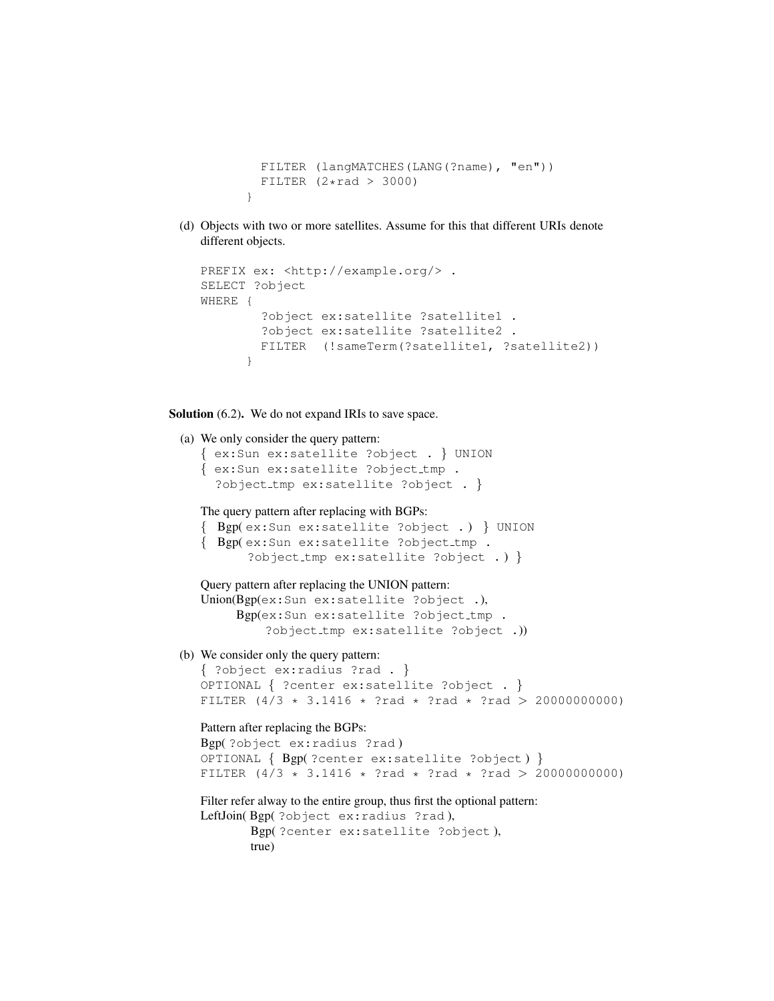```
FILTER (langMATCHES(LANG(?name), "en"))
 FILTER (2*rad > 3000)}
```
(d) Objects with two or more satellites. Assume for this that different URIs denote different objects.

```
PREFIX ex: <http://example.org/> .
SELECT ?object
WHERE {
        ?object ex:satellite ?satellite1 .
        ?object ex:satellite ?satellite2 .
        FILTER (!sameTerm(?satellite1, ?satellite2))
      }
```
#### Solution  $(6.2)$ . We do not expand IRIs to save space.

```
(a) We only consider the query pattern:
   { ex:Sun ex:satellite ?object . } UNION
   { ex:Sun ex:satellite ?object tmp .
     ?object tmp ex:satellite ?object . }
   The query pattern after replacing with BGPs:
   { Bgp( ex:Sun ex:satellite ?object . ) } UNION
   { Bgp( ex:Sun ex:satellite ?object tmp .
          ?object tmp ex:satellite ?object . ) }
   Query pattern after replacing the UNION pattern:
   Union(Bgp(ex:Sun ex:satellite ?object .),
        Bgp(ex:Sun ex:satellite ?object_tmp .
             ?object tmp ex:satellite ?object .))
(b) We consider only the query pattern:
   { ?object ex:radius ?rad . }
   OPTIONAL { ?center ex:satellite ?object . }
   FILTER (4/3 * 3.1416 * ?rad * ?rad * ?rad > 20000000000)Pattern after replacing the BGPs:
   Bgp( ?object ex:radius ?rad )
   OPTIONAL { Bgp( ?center ex:satellite ?object ) }
   FILTER (4/3 * 3.1416 * ?rad * ?rad * ?rad > 20000000000)Filter refer alway to the entire group, thus first the optional pattern:
  LeftJoin( Bgp( ?object ex:radius ?rad ),
          Bgp( ?center ex:satellite ?object ),
          true)
```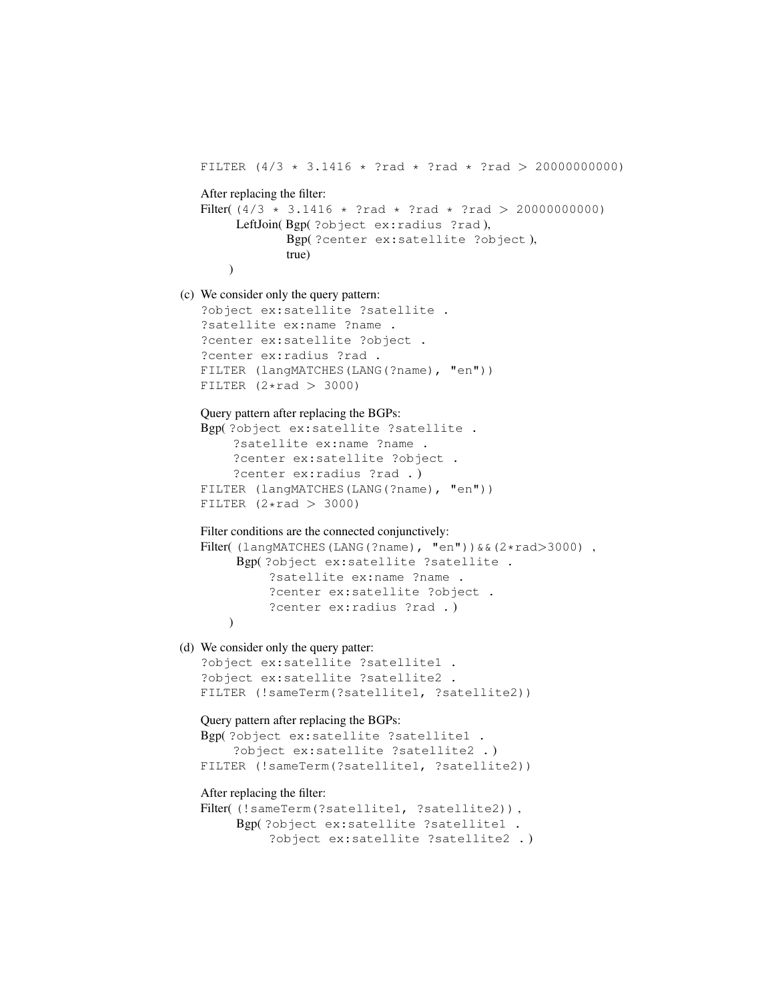```
FILTER (4/3 \times 3.1416 \times 7 \text{ rad} \times 7 \text{ rad} \times 20000000000)After replacing the filter:
   Filter( (4/3 * 3.1416 * ?rad * ?rad * ?rad > 20000000000)LeftJoin( Bgp( ?object ex:radius ?rad ),
                Bgp( ?center ex:satellite ?object ),
                true)
       )
(c) We consider only the query pattern:
   ?object ex:satellite ?satellite .
   ?satellite ex:name ?name .
   ?center ex:satellite ?object .
   ?center ex:radius ?rad .
   FILTER (langMATCHES(LANG(?name), "en"))
   FILTER (2 \times rad > 3000)Query pattern after replacing the BGPs:
   Bgp( ?object ex:satellite ?satellite .
        ?satellite ex:name ?name .
        ?center ex:satellite ?object .
        ?center ex:radius ?rad . )
   FILTER (langMATCHES(LANG(?name), "en"))
   FILTER (2 \times rad > 3000)Filter conditions are the connected conjunctively:
   Filter( (langMATCHES(LANG(?name), "en")) & & (2*rad>3000),
        Bgp( ?object ex:satellite ?satellite .
             ?satellite ex:name ?name .
             ?center ex:satellite ?object .
             ?center ex:radius ?rad . )
       )
(d) We consider only the query patter:
   ?object ex:satellite ?satellite1 .
   ?object ex:satellite ?satellite2 .
   FILTER (!sameTerm(?satellite1, ?satellite2))
   Query pattern after replacing the BGPs:
   Bgp( ?object ex:satellite ?satellite1 .
        ?object ex:satellite ?satellite2 . )
   FILTER (!sameTerm(?satellite1, ?satellite2))
   After replacing the filter:
   Filter((!sameTerm(?satellite1, ?satellite2)),
        Bgp( ?object ex:satellite ?satellite1 .
```
?object ex:satellite ?satellite2 . )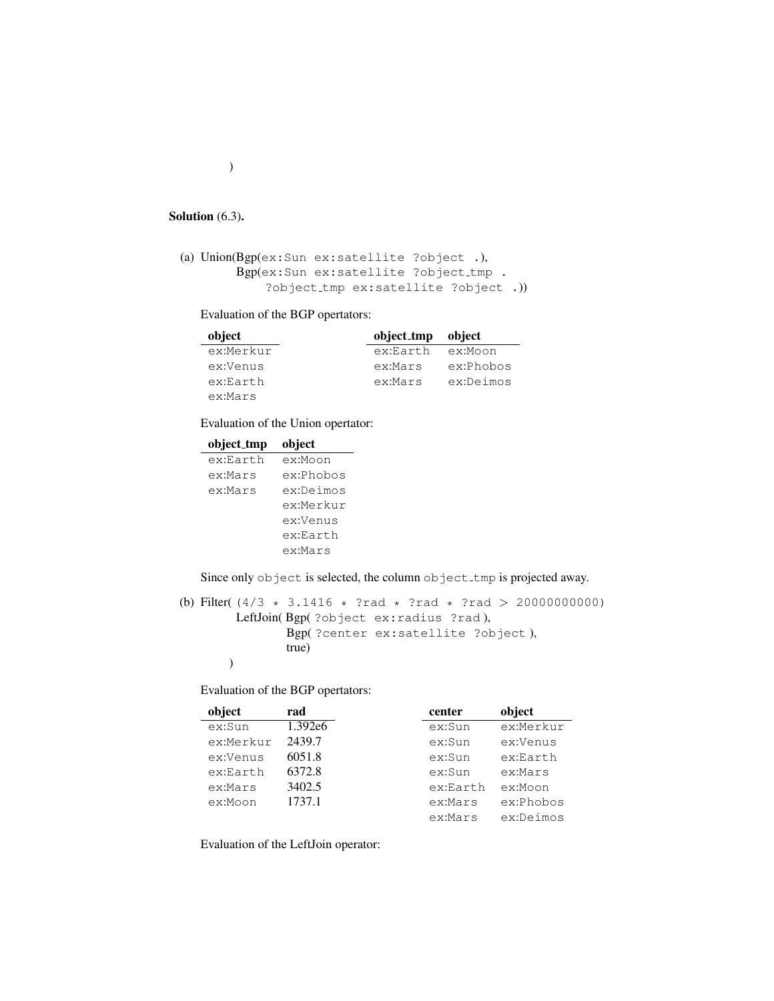#### Solution (6.3).

```
(a) Union(Bgp(ex:Sun ex:satellite ?object .),
       Bgp(ex:Sun ex:satellite ?object_tmp .
            ?object tmp ex:satellite ?object .))
```
Evaluation of the BGP opertators:

| object    | object_tmp | object    |
|-----------|------------|-----------|
| ex:Merkur | ex:Earth   | ex:Moon   |
| ex:Venus  | ex:Mars    | ex:Phobos |
| ex:Earth  | ex:Mars    | ex:Deimos |
| ex:Mars   |            |           |

Evaluation of the Union opertator:

| object_tmp | object    |
|------------|-----------|
| ex:Earth   | ex:Moon   |
| ex:Mars    | ex:Phobos |
| ex:Mars    | ex:Deimos |
|            | ex:Merkur |
|            | ex:Venus  |
|            | ex:Earth  |
|            | ex:Mars   |
|            |           |

Since only object is selected, the column object\_tmp is projected away.

(b) Filter(  $(4/3 * 3.1416 * ?rad * ?rad * ?rad > 20000000000)$ LeftJoin( Bgp( ?object ex:radius ?rad ), Bgp( ?center ex:satellite ?object ), true) )

Evaluation of the BGP opertators:

| object    | rad     | center   | object    |
|-----------|---------|----------|-----------|
| ex:Sun    | 1.392e6 | ex:Sum   | ex:Merkur |
| ex:Merkur | 2439.7  | ex: Sun  | ex:Venus  |
| ex:Venus  | 6051.8  | ex: Sun  | ex:Earth  |
| ex:Earth  | 6372.8  | ex:Sum   | ex:Mars   |
| ex:Mars   | 3402.5  | ex:Earth | ex:Moon   |
| ex:Moon   | 1737.1  | ex:Mars  | ex:Phobos |
|           |         | ex:Mars  | ex:Deimos |

Evaluation of the LeftJoin operator:

)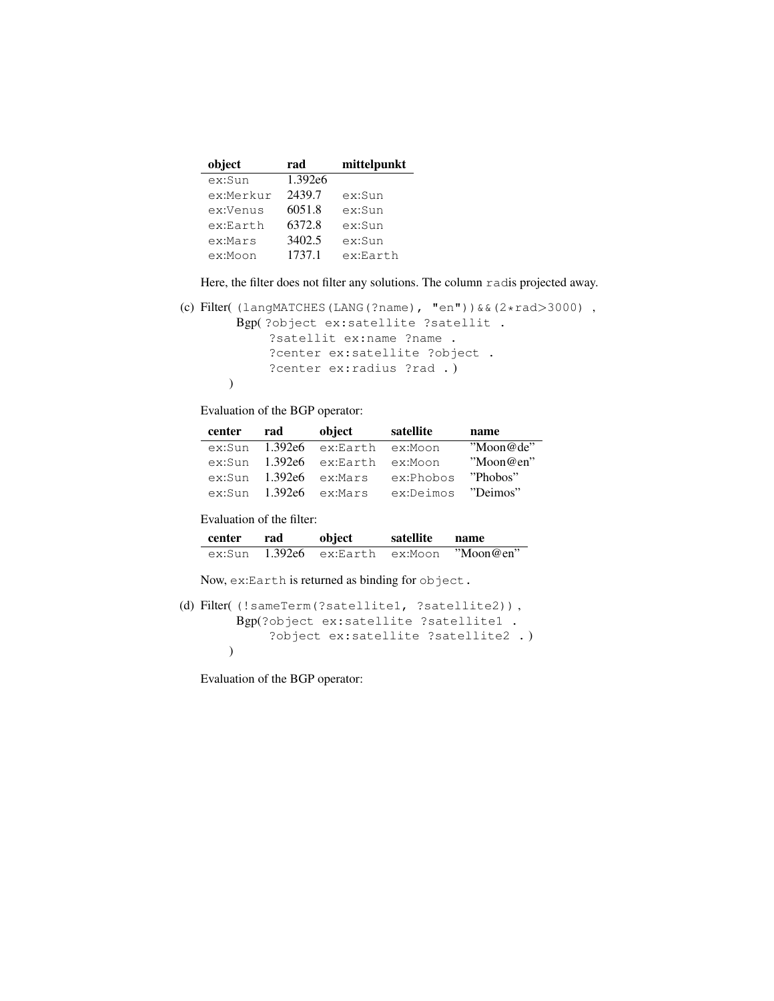| object    | rad     | mittelpunkt |
|-----------|---------|-------------|
| ex:Sun    | 1.392e6 |             |
| ex:Merkur | 2439.7  | ex:Sun      |
| ex:Venus  | 6051.8  | ex:Sun      |
| ex:Earth  | 6372.8  | ex:Sun      |
| ex:Mars   | 3402.5  | ex:Sun      |
| ex:Moon   | 1737.1  | ex:Earth    |

Here, the filter does not filter any solutions. The column radis projected away.

```
(c) Filter( (langMATCHES(LANG(?name), "en"))&&(2*rad>3000) ,
        Bgp( ?object ex:satellite ?satellit .
            ?satellit ex:name ?name .
            ?center ex:satellite ?object .
            ?center ex:radius ?rad . )
       \overline{)}
```
Evaluation of the BGP operator:

| center | rad | object             | satellite | name      |
|--------|-----|--------------------|-----------|-----------|
| ex:Sun |     | $1.392e6$ ex:Earth | ex:Moon   | "Mon@de"  |
| ex:Sun |     | $1.392e6$ ex:Earth | ex:Moon   | "Moon@en" |
| ex:Sun |     | $1.392e6$ ex:Mars  | ex:Phobos | "Phobos"  |
| ex:Sim |     | $1.392e6$ ex:Mars  | ex:Deimos | "Deimos"  |

Evaluation of the filter:

| center | rad | object                   | satellite | name      |
|--------|-----|--------------------------|-----------|-----------|
| ex:Sun |     | 1.392e6 ex:Earth ex:Moon |           | "Moon@en" |

Now, ex:Earth is returned as binding for object.

```
(d) Filter( (!sameTerm(?satellite1, ?satellite2)) ,
       Bgp(?object ex:satellite ?satellite1 .
            ?object ex:satellite ?satellite2 . )
       )
```
Evaluation of the BGP operator: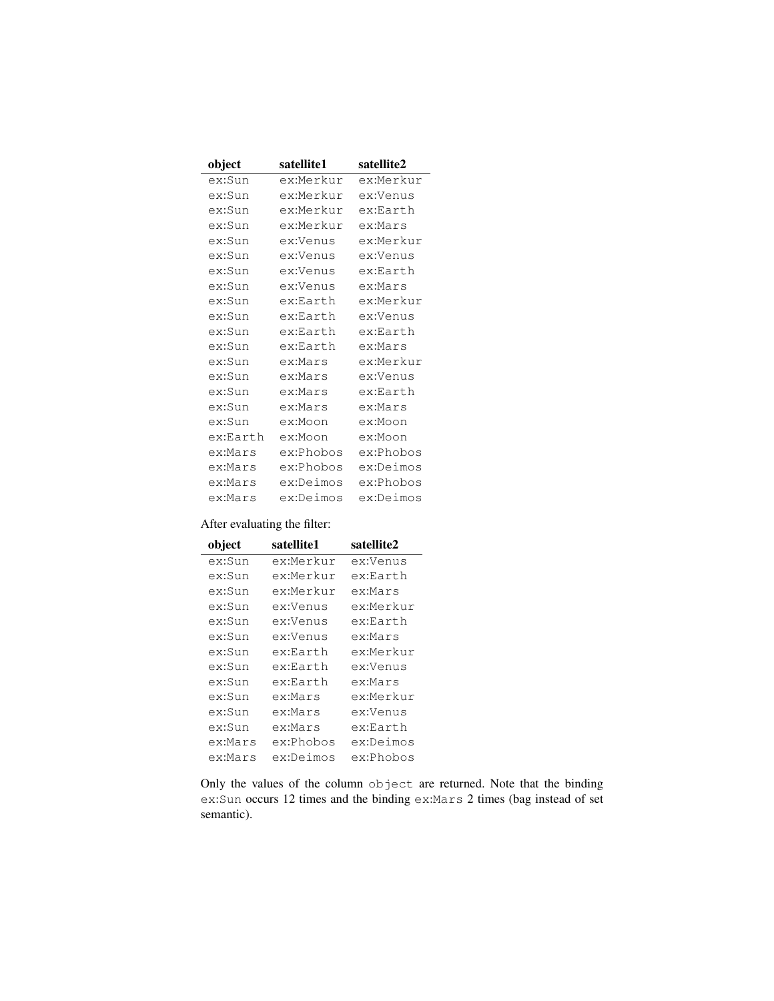| object   | satellite1 | satellite2 |
|----------|------------|------------|
| ex:Sun   | ex:Merkur  | ex:Merkur  |
| ex:Sun   | ex:Merkur  | ex:Venus   |
| ex:Sun   | ex:Merkur  | ex:Earth   |
| ex:Sun   | ex:Merkur  | ex:Mars    |
| ex:Sun   | ex:Venus   | ex:Merkur  |
| ex:Sun   | ex:Venus   | ex:Venus   |
| ex:Sun   | ex:Venus   | ex:Earth   |
| ex:Sun   | ex:Venus   | ex:Mars    |
| ex:Sun   | ex:Earth   | ex:Merkur  |
| ex:Sun   | ex:Earth   | ex:Venus   |
| ex:Sun   | ex:Earth   | ex:Earth   |
| ex:Sun   | ex:Earth   | ex:Mars    |
| ex:Sun   | ex:Mars    | ex:Merkur  |
| ex:Sun   | ex:Mars    | ex:Venus   |
| ex:Sun   | ex:Mars    | ex:Earth   |
| ex:Sun   | ex:Mars    | ex:Mars    |
| ex:Sun   | ex:Moon    | ex:Moon    |
| ex:Earth | ex:Moon    | ex:Moon    |
| ex:Mars  | ex:Phobos  | ex:Phobos  |
| ex:Mars  | ex:Phobos  | ex:Deimos  |
| ex:Mars  | ex:Deimos  | ex:Phobos  |
| ex:Mars  | ex:Deimos  | ex:Deimos  |

# After evaluating the filter:

| object  | satellite1 | satellite2 |
|---------|------------|------------|
| ex:Sun  | ex:Merkur  | ex:Venus   |
| ex:Sun  | ex:Merkur  | ex:Earth   |
| ex:Sun  | ex:Merkur  | ex:Mars    |
| ex:Sun  | ex:Venus   | ex:Merkur  |
| ex:Sun  | ex:Venus   | ex:Earth   |
| ex:Sun  | ex:Venus   | ex:Mars    |
| ex:Sun  | ex:Earth   | ex:Merkur  |
| ex:Sun  | ex:Earth   | ex:Venus   |
| ex:Sun  | ex:Earth   | ex:Mars    |
| ex:Sun  | ex:Mars    | ex:Merkur  |
| ex:Sun  | ex:Mars    | ex:Venus   |
| ex:Sun  | ex:Mars    | ex:Earth   |
| ex:Mars | ex:Phobos  | ex:Deimos  |
| ex:Mars | ex:Deimos  | ex:Phobos  |

Only the values of the column object are returned. Note that the binding ex:Sun occurs 12 times and the binding ex:Mars 2 times (bag instead of set semantic).